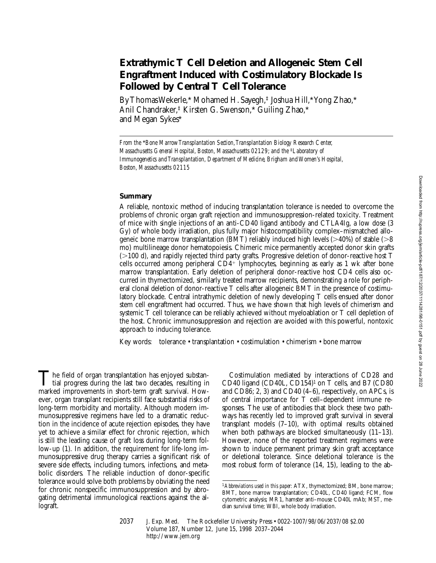# **Extrathymic T Cell Deletion and Allogeneic Stem Cell Engraftment Induced with Costimulatory Blockade Is Followed by Central T Cell Tolerance**

By Thomas Wekerle,\* Mohamed H. Sayegh,‡ Joshua Hill,\* Yong Zhao,\* Anil Chandraker,‡ Kirsten G. Swenson,\* Guiling Zhao,\* and Megan Sykes\*

### **Summary**

A reliable, nontoxic method of inducing transplantation tolerance is needed to overcome the problems of chronic organ graft rejection and immunosuppression-related toxicity. Treatment of mice with single injections of an anti-CD40 ligand antibody and CTLA4Ig, a low dose (3 Gy) of whole body irradiation, plus fully major histocompatibility complex–mismatched allogeneic bone marrow transplantation (BMT) reliably induced high levels  $(>40%)$  of stable ( $>8$ ) mo) multilineage donor hematopoiesis. Chimeric mice permanently accepted donor skin grafts (.100 d), and rapidly rejected third party grafts. Progressive deletion of donor-reactive host T cells occurred among peripheral  $CD4^+$  lymphocytes, beginning as early as 1 wk after bone marrow transplantation. Early deletion of peripheral donor-reactive host CD4 cells also occurred in thymectomized, similarly treated marrow recipients, demonstrating a role for peripheral clonal deletion of donor-reactive T cells after allogeneic BMT in the presence of costimulatory blockade. Central intrathymic deletion of newly developing T cells ensued after donor stem cell engraftment had occurred. Thus, we have shown that high levels of chimerism and systemic T cell tolerance can be reliably achieved without myeloablation or T cell depletion of the host. Chronic immunosuppression and rejection are avoided with this powerful, nontoxic approach to inducing tolerance.

Key words: tolerance • transplantation • costimulation • chimerism • bone marrow

The field of organ transplantation has enjoyed substantial progress during the last two decades, resulting in marked improvements in short-term graft survival. However, organ transplant recipients still face substantial risks of long-term morbidity and mortality. Although modern immunosuppressive regimens have led to a dramatic reduction in the incidence of acute rejection episodes, they have yet to achieve a similar effect for chronic rejection, which is still the leading cause of graft loss during long-term follow-up (1). In addition, the requirement for life-long immunosuppressive drug therapy carries a significant risk of severe side effects, including tumors, infections, and metabolic disorders. The reliable induction of donor-specific tolerance would solve both problems by obviating the need for chronic nonspecific immunosuppression and by abrogating detrimental immunological reactions against the allograft.

Costimulation mediated by interactions of CD28 and CD40 ligand (CD40L, CD154)1 on T cells, and B7 (CD80 and CD86; 2, 3) and CD40 (4–6), respectively, on APCs, is of central importance for T cell–dependent immune responses. The use of antibodies that block these two pathways has recently led to improved graft survival in several transplant models (7–10), with optimal results obtained when both pathways are blocked simultaneously (11–13). However, none of the reported treatment regimens were shown to induce permanent primary skin graft acceptance or deletional tolerance. Since deletional tolerance is the most robust form of tolerance (14, 15), leading to the ab-

*From the* \**Bone Marrow Transplantation Section, Transplantation Biology Research Center, Massachusetts General Hospital, Boston, Massachusetts 02129; and the* <sup>‡</sup>*Laboratory of Immunogenetics and Transplantation, Department of Medicine, Brigham and Women's Hospital, Boston, Massachusetts 02115*

<sup>1</sup>*Abbreviations used in this paper:* ATX, thymectomized; BM, bone marrow; BMT, bone marrow transplantation; CD40L, CD40 ligand; FCM, flow cytometric analysis; MR1, hamster anti–mouse CD40L mAb; MST, median survival time; WBI, whole body irradiation.

<sup>2037</sup> J. Exp. Med. The Rockefeller University Press • 0022-1007/98/06/2037/08 \$2.00 Volume 187, Number 12, June 15, 1998 2037–2044 http://www.jem.org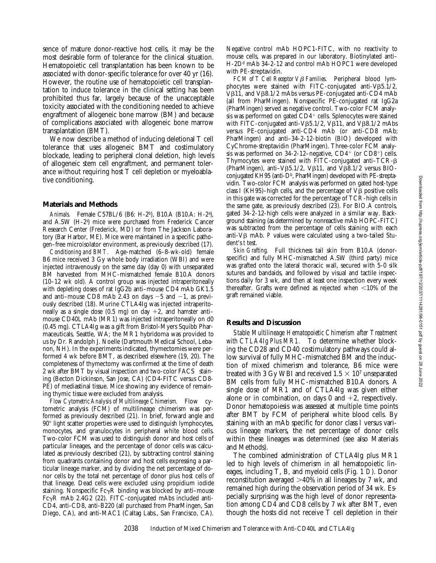sence of mature donor-reactive host cells, it may be the most desirable form of tolerance for the clinical situation. Hematopoietic cell transplantation has been known to be associated with donor-specific tolerance for over 40 yr (16). However, the routine use of hematopoietic cell transplantation to induce tolerance in the clinical setting has been prohibited thus far, largely because of the unacceptable toxicity associated with the conditioning needed to achieve engraftment of allogeneic bone marrow (BM) and because of complications associated with allogeneic bone marrow transplantation (BMT).

We now describe a method of inducing deletional T cell tolerance that uses allogeneic BMT and costimulatory blockade, leading to peripheral clonal deletion, high levels of allogeneic stem cell engraftment, and permanent tolerance without requiring host T cell depletion or myeloablative conditioning.

#### **Materials and Methods**

*Animals.* Female C57BL/6 (B6: H-2b), B10.A (B10.A: H-2a ), and A.SW (H-2s ) mice were purchased from Frederick Cancer Research Center (Frederick, MD) or from The Jackson Laboratory (Bar Harbor, ME). Mice were maintained in a specific pathogen–free microisolator environment, as previously described (17).

*Conditioning and BMT.* Age-matched (6–8-wk-old) female B6 mice received 3 Gy whole body irradiation (WBI) and were injected intravenously on the same day (day 0) with unseparated BM harvested from MHC-mismatched female B10.A donors (10–12 wk old). A control group was injected intraperitoneally with depleting doses of rat IgG2b anti–mouse CD4 mAb GK1.5 and anti-mouse CD8 mAb 2.43 on days  $-5$  and  $-1$ , as previously described (18). Murine CTLA4Ig was injected intraperitoneally as a single dose (0.5 mg) on day  $+2$ , and hamster antimouse CD40L mAb (MR1) was injected intraperitoneally on d0 (0.45 mg). CTLA4Ig was a gift from Bristol-Myers Squibb Pharmaceuticals, Seattle, WA; the MR1 hybridoma was provided to us by Dr. Randolph J. Noelle (Dartmouth Medical School, Lebanon, NH). In the experiments indicated, thymectomies were performed 4 wk before BMT, as described elsewhere (19, 20). The completeness of thymectomy was confirmed at the time of death 2 wk after BMT by visual inspection and two-color FACS<sup>®</sup> staining (Becton Dickinson, San Jose, CA) (CD4-FITC versus CD8- PE) of mediastinal tissue. Mice showing any evidence of remaining thymic tissue were excluded from analysis.

*Flow Cytometric Analysis of Multilineage Chimerism.* Flow cytometric analysis (FCM) of multilineage chimerism was performed as previously described (21). In brief, forward angle and  $90^\circ$  light scatter properties were used to distinguish lymphocytes, monocytes, and granulocytes in peripheral white blood cells. Two-color FCM was used to distinguish donor and host cells of particular lineages, and the percentage of donor cells was calculated as previously described (21), by subtracting control staining from quadrants containing donor and host cells expressing a particular lineage marker, and by dividing the net percentage of donor cells by the total net percentage of donor plus host cells of that lineage. Dead cells were excluded using propidium iodide staining. Nonspecific  $Fc\gamma R$  binding was blocked by anti–mouse  $Fc\gamma R$  mAb 2.4G2 (22). FITC-conjugated mAbs included anti-CD4, anti-CD8, anti-B220 (all purchased from PharMingen, San Diego, CA), and anti-MAC1 (Caltag Labs., San Francisco, CA).

Negative control mAb HOPC1-FITC, with no reactivity to mouse cells, was prepared in our laboratory. Biotinylated anti– H-2D<sup>d</sup> mAb 34-2-12 and control mAb HOPC1 were developed with PE-streptavidin.

 $FCM$  of  $\overline{T}$  Cell Receptor  $V\beta$  Families. Peripheral blood lymphocytes were stained with FITC-conjugated anti- $V\beta 5.1/2$ ,  $V\beta11$ , and  $V\beta8.1/2$  mAbs versus PE-conjugated anti-CD4 mAb (all from PharMingen). Nonspecific PE-conjugated rat IgG2a (PharMingen) served as negative control. Two-color FCM analysis was performed on gated  $CD4^+$  cells. Splenocytes were stained with FITC-conjugated anti-V $\beta$ 5.1/2, V $\beta$ 11, and V $\beta$ 8.1/2 mAbs versus PE-conjugated anti-CD4 mAb (or anti-CD8 mAb; PharMingen) and anti–34-2-12-biotin (BIO) developed with CyChrome-streptavidin (PharMingen). Three-color FCM analysis was performed on  $34-2-12$ –negative,  $CD4^+$  (or  $CD8^+$ ) cells. Thymocytes were stained with FITC-conjugated anti-TCR- $\beta$ (PharMingen), anti-V $\beta$ 5.1/2, V $\beta$ 11, and V $\beta$ 8.1/2 versus BIOconjugated KH95 (anti-D<sup>b</sup>, PharMingen) developed with PE-streptavidin. Two-color FCM analysis was performed on gated host-type class I (KH95)–high cells, and the percentage of  $V\beta$  positive cells in this gate was corrected for the percentage of TCR-high cells in the same gate, as previously described (23). For BIO.A controls, gated 34-2-12-high cells were analyzed in a similar way. Background staining (as determined by nonreactive mAb HOPC-FITC) was subtracted from the percentage of cells staining with each anti-V<sub>B</sub> mAb. *P* values were calculated using a two-tailed Student's *t* test.

*Skin Grafting.* Full thickness tail skin from B10.A (donorspecific) and fully MHC-mismatched A.SW (third party) mice was grafted onto the lateral thoracic wall, secured with 5-0 silk sutures and bandaids, and followed by visual and tactile inspections daily for 3 wk, and then at least one inspection every week thereafter. Grafts were defined as rejected when  $\leq 10\%$  of the graft remained viable.

#### **Results and Discussion**

*Stable Multilineage Hematopoietic Chimerism after Treatment with CTLA4Ig Plus MR1.* To determine whether blocking the CD28 and CD40 costimulatory pathways could allow survival of fully MHC-mismatched BM and the induction of mixed chimerism and tolerance, B6 mice were treated with 3 Gy WBI and received  $1.5 \times 10^7$  unseparated BM cells from fully MHC-mismatched B10.A donors. A single dose of MR1 and of CTLA4Ig was given either alone or in combination, on days 0 and  $+2$ , respectively. Donor hematopoiesis was assessed at multiple time points after BMT by FCM of peripheral white blood cells. By staining with an mAb specific for donor class I versus various lineage markers, the net percentage of donor cells within these lineages was determined (see also Materials and Methods).

The combined administration of CTLA4Ig plus MR1 led to high levels of chimerism in all hematopoietic lineages, including T, B, and myeloid cells (Fig. 1 *D*). Donor reconstitution averaged  $>40\%$  in all lineages by 7 wk, and remained high during the observation period of 34 wk. Especially surprising was the high level of donor representation among CD4 and CD8 cells by 7 wk after BMT, even though the hosts did not receive T cell depletion in their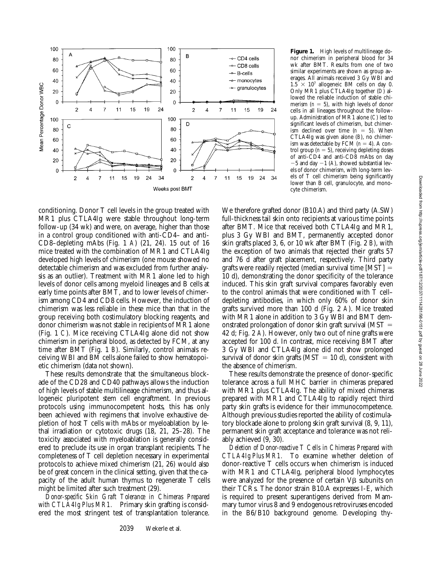

**Figure 1.** High levels of multilineage donor chimerism in peripheral blood for 34 wk after BMT. Results from one of two similar experiments are shown as group averages. All animals received 3 Gy WBI and  $1.5 \times 10^7$  allogeneic BM cells on day 0. Only MR1 plus CTLA4Ig together (*D*) allowed the reliable induction of stable chimerism  $(n = 5)$ , with high levels of donor cells in all lineages throughout the followup. Administration of MR1 alone (*C*) led to significant levels of chimerism, but chimerism declined over time  $(n = 5)$ . When CTLA4Ig was given alone (*B*), no chimerism was detectable by FCM  $(n = 4)$ . A control group  $(n = 5)$ , receiving depleting doses of anti-CD4 and anti-CD8 mAbs on day  $-5$  and day  $-1$  (A), showed substantial levels of donor chimerism, with long-term levels of T cell chimerism being significantly lower than B cell, granulocyte, and monocyte chimerism.

conditioning. Donor T cell levels in the group treated with MR1 plus CTLA4Ig were stable throughout long-term follow-up (34 wk) and were, on average, higher than those in a control group conditioned with anti-CD4– and anti-CD8–depleting mAbs (Fig. 1 *A*) (21, 24). 15 out of 16 mice treated with the combination of MR1 and CTLA4Ig developed high levels of chimerism (one mouse showed no detectable chimerism and was excluded from further analysis as an outlier). Treatment with MR1 alone led to high levels of donor cells among myeloid lineages and B cells at early time points after BMT, and to lower levels of chimerism among CD4 and CD8 cells. However, the induction of chimerism was less reliable in these mice than that in the group receiving both costimulatory blocking reagents, and donor chimerism was not stable in recipients of MR1 alone (Fig. 1 *C*). Mice receiving CTLA4Ig alone did not show chimerism in peripheral blood, as detected by FCM, at any time after BMT (Fig. 1 *B*). Similarly, control animals receiving WBI and BM cells alone failed to show hematopoietic chimerism (data not shown).

These results demonstrate that the simultaneous blockade of the CD28 and CD40 pathways allows the induction of high levels of stable multilineage chimerism, and thus allogeneic pluripotent stem cell engraftment. In previous protocols using immunocompetent hosts, this has only been achieved with regimens that involve exhaustive depletion of host T cells with mAbs or myeloablation by lethal irradiation or cytotoxic drugs (18, 21, 25–28). The toxicity associated with myeloablation is generally considered to preclude its use in organ transplant recipients. The completeness of T cell depletion necessary in experimental protocols to achieve mixed chimerism (21, 26) would also be of great concern in the clinical setting, given that the capacity of the adult human thymus to regenerate T cells might be limited after such treatment (29).

*Donor-specific Skin Graft Tolerance in Chimeras Prepared with CTLA4Ig Plus MR1.* Primary skin grafting is considered the most stringent test of transplantation tolerance.

We therefore grafted donor (B10.A) and third party (A.SW) full-thickness tail skin onto recipients at various time points after BMT. Mice that received both CTLA4Ig and MR1, plus 3 Gy WBI and BMT, permanently accepted donor skin grafts placed 3, 6, or 10 wk after BMT (Fig. 2 *B*), with the exception of two animals that rejected their grafts 57 and 76 d after graft placement, respectively. Third party grafts were readily rejected (median survival time  $[MST] =$ 10 d), demonstrating the donor specificity of the tolerance induced. This skin graft survival compares favorably even to the control animals that were conditioned with T cell– depleting antibodies, in which only 60% of donor skin grafts survived more than 100 d (Fig. 2 *A*). Mice treated with MR1 alone in addition to 3 Gy WBI and BMT demonstrated prolongation of donor skin graft survival ( $MST =$ 42 d; Fig. 2 *A*). However, only two out of nine grafts were accepted for 100 d. In contrast, mice receiving BMT after 3 Gy WBI and CTLA4Ig alone did not show prolonged survival of donor skin grafts ( $MST = 10$  d), consistent with the absence of chimerism.

These results demonstrate the presence of donor-specific tolerance across a full MHC barrier in chimeras prepared with MR1 plus CTLA4Ig. The ability of mixed chimeras prepared with MR1 and CTLA4Ig to rapidly reject third party skin grafts is evidence for their immunocompetence. Although previous studies reported the ability of costimulatory blockade alone to prolong skin graft survival (8, 9, 11), permanent skin graft acceptance and tolerance was not reliably achieved (9, 30).

*Deletion of Donor-reactive T Cells in Chimeras Prepared with CTLA4Ig Plus MR1.* To examine whether deletion of donor-reactive T cells occurs when chimerism is induced with MR1 and CTLA4Ig, peripheral blood lymphocytes were analyzed for the presence of certain  $V\beta$  subunits on their TCRs. The donor strain B10.A expresses I-E, which is required to present superantigens derived from Mammary tumor virus 8 and 9 endogenous retroviruses encoded in the B6/B10 background genome. Developing thy-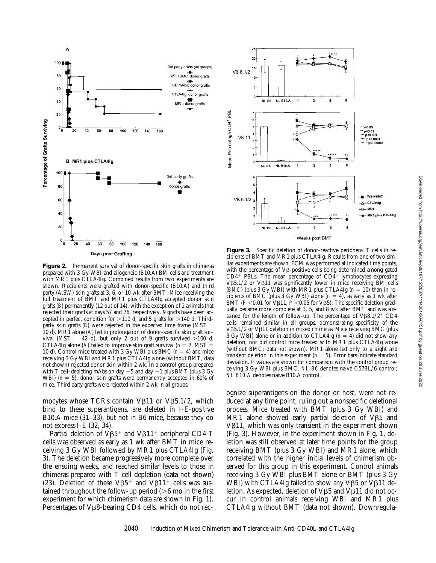

Figure 2. Permanent survival of donor-specific skin grafts in chimeras prepared with 3 Gy WBI and allogeneic (B10.A) BM cells and treatment with MR1 plus CTLA4Ig. Combined results from two experiments are shown. Recipients were grafted with donor-specific (B10.A) and third party (A.SW) skin grafts at 3, 6, or 10 wk after BMT. Mice receiving the full treatment of BMT and MR1 plus CTLA4Ig accepted donor skin grafts (*B*) permanently (12 out of 14), with the exception of 2 animals that rejected their grafts at days 57 and 76, respectively. 9 grafts have been accepted in perfect condition for  $>110$  d, and 5 grafts for  $>140$  d. Thirdparty skin grafts  $(B)$  were rejected in the expected time frame  $(MST =$ 10 d). MR1 alone (*A*) led to prolongation of donor-specific skin graft survival (MST = 42 d), but only 2 out of 9 grafts survived  $>100$  d. CTLA4Ig alone (A) failed to improve skin graft survival ( $n = 7$ , MST = 10 d). Control mice treated with 3 Gy WBI plus BMC  $(n = 4)$  and mice receiving 3 Gy WBI and MR1 plus CTLA4Ig alone (without BMT, data not shown) rejected donor skin within 2 wk. In a control group prepared with T cell–depleting mAbs on day  $-5$  and day  $-1$  plus BMT (plus 3 Gy WBI)  $(n = 5)$ , donor skin grafts were permanently accepted in 60% of mice. Third party grafts were rejected within 2 wk in all groups.

mocytes whose TCRs contain  $V\beta11$  or  $V\beta5.1/2$ , which bind to these superantigens, are deleted in I-E-positive B10.A mice (31–33), but not in B6 mice, because they do not express I-E (32, 34).

Partial deletion of  $V\beta5^+$  and  $V\beta11^+$  peripheral CD4 T cells was observed as early as 1 wk after BMT in mice receiving 3 Gy WBI followed by MR1 plus CTLA4Ig (Fig. 3). The deletion became progressively more complete over the ensuing weeks, and reached similar levels to those in chimeras prepared with T cell depletion (data not shown) (23). Deletion of these  $V\beta5^+$  and  $V\beta11^+$  cells was sustained throughout the follow-up period  $(>\,6$  mo in the first experiment for which chimerism data are shown in Fig. 1). Percentages of V<sub>B8</sub>-bearing CD4 cells, which do not rec-



Figure 3. Specific deletion of donor-reactive peripheral T cells in recipients of BMT and MR1 plus CTLA4Ig. Results from one of two similar experiments are shown. FCM was performed at indicated time points, with the percentage of  $V\beta$ -positive cells being determined among gated  $CD4$ <sup>+</sup> PBLs. The mean percentage of  $CD4$ <sup>+</sup> lymphocytes expressing  $V\beta5.1/2$  or  $V\beta11$  was significantly lower in mice receiving BM cells (*BMC*) (plus 3 Gy WBI) with MR1 plus CTLA4Ig ( $n = 10$ ) than in recipients of BMC (plus 3 Gy WBI) alone  $(n = 4)$ , as early as 1 wk after BMT ( $P$  <0.01 for V $\beta$ 11,  $\dot{P}$  <0.05 for V $\beta$ 5). The specific deletion gradually became more complete at 3, 5, and 8 wk after BMT and was sustained for the length of follow-up. The percentage of  $V\beta8.1/2^+$  CD4 cells remained similar in all groups, demonstrating specificity of the V $\beta$ 5.1/2 or V $\beta$ 11 deletion in mixed chimeras. Mice receiving BMC (plus 3 Gy WBI) alone or in addition to CTLA4Ig  $(n = 4)$  did not show any deletion, nor did control mice treated with MR1 plus CTLA4Ig alone (without BMC; data not shown). MR1 alone led only to a slight and transient deletion in this experiment  $(n = 5)$ . Error bars indicate standard deviation. *P* values are shown for comparison with the control group receiving 3 Gy WBI plus BMC. *NL B6* denotes naive C57BL/6 control; *NL B10.A* denotes naive B10.A control.

ognize superantigens on the donor or host, were not reduced at any time point, ruling out a nonspecific deletional process. Mice treated with BMT (plus 3 Gy WBI) and MR1 alone showed early partial deletion of  $V\beta5$  and  $V\beta11$ , which was only transient in the experiment shown (Fig. 3). However, in the experiment shown in Fig. 1, deletion was still observed at later time points for the group receiving BMT (plus 3 Gy WBI) and MR1 alone, which correlated with the higher initial levels of chimerism observed for this group in this experiment. Control animals receiving 3 Gy WBI plus BMT alone or BMT (plus 3 Gy WBI) with CTLA4Ig failed to show any V $\beta$ 5 or V $\beta$ 11 deletion. As expected, deletion of  $V\beta5$  and  $V\beta11$  did not occur in control animals receiving WBI and MR1 plus CTLA4Ig without BMT (data not shown). Downregula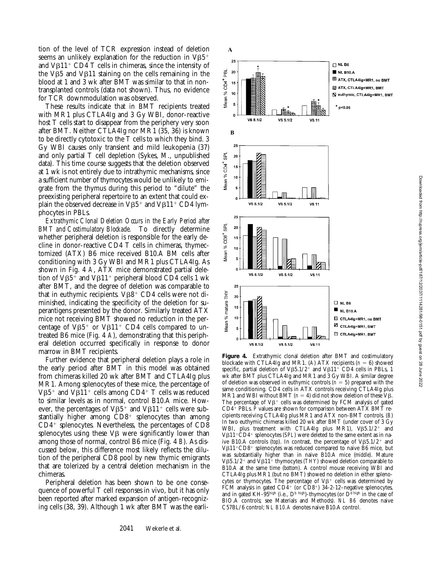tion of the level of TCR expression instead of deletion seems an unlikely explanation for the reduction in  $V\beta5$ <sup>+</sup> and  $V\beta11^+$  CD4 T cells in chimeras, since the intensity of the V $\beta$ 5 and V $\beta$ 11 staining on the cells remaining in the blood at 1 and 3 wk after BMT was similar to that in nontransplanted controls (data not shown). Thus, no evidence for TCR downmodulation was observed.

These results indicate that in BMT recipients treated with MR1 plus CTLA4Ig and 3 Gy WBI, donor-reactive host T cells start to disappear from the periphery very soon after BMT. Neither CTLA4Ig nor MR1 (35, 36) is known to be directly cytotoxic to the T cells to which they bind. 3 Gy WBI causes only transient and mild leukopenia (37) and only partial T cell depletion (Sykes, M., unpublished data). This time course suggests that the deletion observed at 1 wk is not entirely due to intrathymic mechanisms, since a sufficient number of thymocytes would be unlikely to emigrate from the thymus during this period to "dilute" the preexisting peripheral repertoire to an extent that could explain the observed decrease in  $VB5^+$  and  $VB11^+$  CD4 lymphocytes in PBLs.

*Extrathymic Clonal Deletion Occurs in the Early Period after BMT and Costimulatory Blockade.* To directly determine whether peripheral deletion is responsible for the early decline in donor-reactive CD4 T cells in chimeras, thymectomized (ATX) B6 mice received B10.A BM cells after conditioning with 3 Gy WBI and MR1 plus CTLA4Ig. As shown in Fig. 4 *A*, ATX mice demonstrated partial deletion of  $V\beta5^+$  and  $V\beta11^+$  peripheral blood CD4 cells 1 wk after BMT, and the degree of deletion was comparable to that in euthymic recipients.  $V\beta8^+$  CD4 cells were not diminished, indicating the specificity of the deletion for superantigens presented by the donor. Similarly treated ATX mice not receiving BMT showed no reduction in the percentage of  $V\beta_{5}^{+}$  or  $V\beta_{11}^{+}$  CD4 cells compared to untreated B6 mice (Fig. 4 *A*), demonstrating that this peripheral deletion occurred specifically in response to donor marrow in BMT recipients.

Further evidence that peripheral deletion plays a role in the early period after BMT in this model was obtained from chimeras killed 20 wk after BMT and CTLA4Ig plus MR1. Among splenocytes of these mice, the percentage of V $\beta$ 5<sup>+</sup> and V $\beta$ 11<sup>+</sup> cells among CD4<sup>+</sup> T cells was reduced to similar levels as in normal, control B10.A mice. However, the percentages of  $V\beta5^+$  and  $V\beta11^+$  cells were substantially higher among  $CD8<sup>+</sup>$  splenocytes than among  $CD4<sup>+</sup>$  splenocytes. Nevertheless, the percentages of  $CD8$ splenocytes using these  $V\beta$  were significantly lower than among those of normal, control B6 mice (Fig. 4 *B*). As discussed below, this difference most likely reflects the dilution of the peripheral CD8 pool by new thymic emigrants that are tolerized by a central deletion mechanism in the chimeras.

Peripheral deletion has been shown to be one consequence of powerful T cell responses in vivo, but it has only been reported after marked expansion of antigen-recognizing cells (38, 39). Although 1 wk after BMT was the earli-



**Figure 4.** Extrathymic clonal deletion after BMT and costimulatory blockade with CTLA4Ig and MR1. (A) ATX recipients ( $n = 6$ ) showed specific, partial deletion of  $V\beta5.1/2^+$  and  $V\beta11^+$  CD4 cells in PBLs, 1 wk after BMT plus CTLA4Ig and MR1 and 3 Gy WBI. A similar degree of deletion was observed in euthymic controls  $(n = 5)$  prepared with the same conditioning. CD4 cells in ATX controls receiving CTLA4Ig plus MR1 and WBI without BMT ( $n = 4$ ) did not show deletion of these V $\beta$ . The percentage of  $V\beta^+$  cells was determined by FCM analysis of gated  $CD4$ <sup>+</sup> PBLs. *P* values are shown for comparison between ATX BMT recipients receiving CTLA4Ig plus MR1 and ATX non-BMT controls. (*B*) In two euthymic chimeras killed 20 wk after BMT (under cover of 3 Gy WBI, plus treatment with CTLA4Ig plus MR1), Vß5.1/2+ and V<sub>B11</sub><sup>+</sup>CD<sub>4</sub><sup>+</sup> splenocytes (*SPL*) were deleted to the same extent as in naive B10.A controls (top). In contrast, the percentage of  $V\beta5.1/2^+$  and  $V\beta11+CD8$ <sup>+</sup> splenocytes was reduced compared to naive B6 mice, but was substantially higher than in naive B10.A mice (*middle*). Mature  $V\beta5.1/2^+$  and  $V\beta11^+$  thymocytes (*THY*) showed deletion comparable to B10.A at the same time (*bottom*). A control mouse receiving WBI and CTLA4Ig plus MR1 (but no BMT) showed no deletion in either splenocytes or thymocytes. The percentage of  $V\beta^+$  cells was determined by FCM analysis in gated  $CD\hat{4}^+$  (or  $CD8^+$ ) 34-2-12–negative splenocytes, and in gated KH-95high (i.e.,  $D^b$  high)-thymocytes (or  $D^d$  high in the case of BIO.A controls; see Materials and Methods). *NL B6* denotes naive C57BL/6 control; *NL B10.A* denotes naive B10.A control.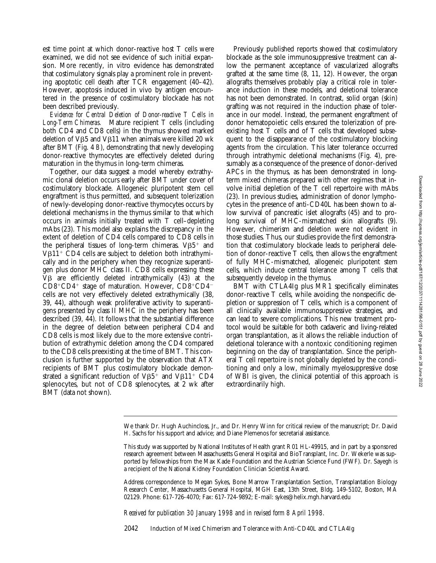est time point at which donor-reactive host T cells were examined, we did not see evidence of such initial expansion. More recently, in vitro evidence has demonstrated that costimulatory signals play a prominent role in preventing apoptotic cell death after TCR engagement (40–42). However, apoptosis induced in vivo by antigen encountered in the presence of costimulatory blockade has not been described previously.

*Evidence for Central Deletion of Donor-reactive T Cells in Long-Term Chimeras.* Mature recipient T cells (including both CD4 and CD8 cells) in the thymus showed marked deletion of  $V\beta5$  and  $V\beta11$  when animals were killed 20 wk after BMT (Fig. 4 *B*), demonstrating that newly developing donor-reactive thymocytes are effectively deleted during maturation in the thymus in long-term chimeras.

Together, our data suggest a model whereby extrathymic clonal deletion occurs early after BMT under cover of costimulatory blockade. Allogeneic pluripotent stem cell engraftment is thus permitted, and subsequent tolerization of newly-developing donor-reactive thymocytes occurs by deletional mechanisms in the thymus similar to that which occurs in animals initially treated with T cell–depleting mAbs (23). This model also explains the discrepancy in the extent of deletion of CD4 cells compared to CD8 cells in the peripheral tissues of long-term chimeras.  $V\beta5^+$  and  $V\beta11$ <sup>+</sup> CD4 cells are subject to deletion both intrathymically and in the periphery when they recognize superantigen plus donor MHC class II. CD8 cells expressing these  $V\beta$  are efficiently deleted intrathymically (43) at the  $CD8+CD4$ <sup>+</sup> stage of maturation. However,  $CD8+CD4$ <sup>-</sup> cells are not very effectively deleted extrathymically (38, 39, 44), although weak proliferative activity to superantigens presented by class II MHC in the periphery has been described (39, 44). It follows that the substantial difference in the degree of deletion between peripheral CD4 and CD8 cells is most likely due to the more extensive contribution of extrathymic deletion among the CD4 compared to the CD8 cells preexisting at the time of BMT. This conclusion is further supported by the observation that ATX recipients of BMT plus costimulatory blockade demonstrated a significant reduction of  $V\beta5^+$  and  $V\beta11^+$  CD4 splenocytes, but not of CD8 splenocytes, at 2 wk after BMT (data not shown).

Previously published reports showed that costimulatory blockade as the sole immunosuppressive treatment can allow the permanent acceptance of vascularized allografts grafted at the same time (8, 11, 12). However, the organ allografts themselves probably play a critical role in tolerance induction in these models, and deletional tolerance has not been demonstrated. In contrast, solid organ (skin) grafting was not required in the induction phase of tolerance in our model. Instead, the permanent engraftment of donor hematopoietic cells ensured the tolerization of preexisting host T cells and of T cells that developed subsequent to the disappearance of the costimulatory blocking agents from the circulation. This later tolerance occurred through intrathymic deletional mechanisms (Fig. 4), presumably as a consequence of the presence of donor-derived APCs in the thymus, as has been demonstrated in longterm mixed chimeras prepared with other regimes that involve initial depletion of the T cell repertoire with mAbs (23). In previous studies, administration of donor lymphocytes in the presence of anti-CD40L has been shown to allow survival of pancreatic islet allografts (45) and to prolong survival of MHC-mismatched skin allografts (9). However, chimerism and deletion were not evident in those studies. Thus, our studies provide the first demonstration that costimulatory blockade leads to peripheral deletion of donor-reactive T cells, then allows the engraftment of fully MHC-mismatched, allogeneic pluripotent stem cells, which induce central tolerance among T cells that subsequently develop in the thymus.

BMT with CTLA4Ig plus MR1 specifically eliminates donor-reactive T cells, while avoiding the nonspecific depletion or suppression of T cells, which is a component of all clinically available immunosuppressive strategies, and can lead to severe complications. This new treatment protocol would be suitable for both cadaveric and living-related organ transplantation, as it allows the reliable induction of deletional tolerance with a nontoxic conditioning regimen beginning on the day of transplantation. Since the peripheral T cell repertoire is not globally depleted by the conditioning and only a low, minimally myelosuppressive dose of WBI is given, the clinical potential of this approach is extraordinarily high.

*Received for publication 30 January 1998 and in revised form 8 April 1998.*

2042 Induction of Mixed Chimerism and Tolerance with Anti-CD40L and CTLA4Ig

We thank Dr. Hugh Auchincloss, Jr., and Dr. Henry Winn for critical review of the manuscript; Dr. David H. Sachs for his support and advice; and Diane Plemenos for secretarial assistance.

This study was supported by National Institutes of Health grant R01 HL-49915, and in part by a sponsored research agreement between Massachusetts General Hospital and BioTransplant, Inc. Dr. Wekerle was supported by fellowships from the Max Kade Foundation and the Austrian Science Fund (FWF). Dr. Sayegh is a recipient of the National Kidney Foundation Clinician Scientist Award.

Address correspondence to Megan Sykes, Bone Marrow Transplantation Section, Transplantation Biology Research Center, Massachusetts General Hospital, MGH East, 13th Street, Bldg. 149-5102, Boston, MA 02129. Phone: 617-726-4070; Fax: 617-724-9892; E-mail: sykes@helix.mgh.harvard.edu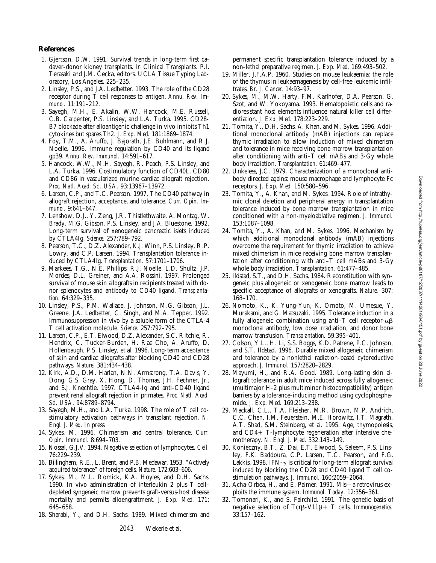## **References**

- 1. Gjertson, D.W. 1991. Survival trends in long-term first cadaver-donor kidney transplants. *In* Clinical Transplants. P.I. Terasaki and J.M. Cecka, editors. UCLA Tissue Typing Laboratory, Los Angeles. 225–235.
- 2. Linsley, P.S., and J.A. Ledbetter. 1993. The role of the CD28 receptor during T cell responses to antigen. *Annu. Rev. Immunol.* 11:191–212.
- 3. Sayegh, M.H., E. Akalin, W.W. Hancock, M.E. Russell, C.B. Carpenter, P.S. Linsley, and L.A. Turka. 1995. CD28- B7 blockade after alloantigenic challenge in vivo inhibits Th1 cytokines but spares Th2. *J. Exp. Med.* 181:1869–1874.
- 4. Foy, T.M., A. Aruffo, J. Bajorath, J.E. Buhlmann, and R.J. Noelle. 1996. Immune regulation by CD40 and its ligand gp39. *Annu. Rev. Immunol.* 14:591–617.
- 5. Hancock, W.W., M.H. Sayegh, R. Peach, P.S. Linsley, and L.A. Turka. 1996. Costimulatory function of CD40L, CD80 and CD86 in vascularized murine cardiac allograft rejection. *Proc. Natl. Acad. Sci. USA.* 93:13967–13972.
- 6. Larsen, C.P., and T.C. Pearson. 1997. The CD40 pathway in allograft rejection, acceptance, and tolerance. *Curr. Opin. Immunol.* 9:641–647.
- 7. Lenshow, D.J., Y. Zeng, J.R. Thistlethwaite, A. Montag, W. Brady, M.G. Gibson, P.S. Linsley, and J.A. Bluestone. 1992. Long-term survival of xenogeneic pancreatic islets induced by CTLA4Ig. *Science.* 257:789–792.
- 8. Pearson, T.C., D.Z. Alexander, K.J. Winn, P.S. Linsley, R.P. Lowry, and C.P. Larsen. 1994. Transplantation tolerance induced by CTLA4Ig. *Transplantation.* 57:1701–1706.
- 9. Markees, T.G., N.E. Phillips, R.J. Noelle, L.D. Shultz, J.P. Mordes, D.L. Greiner, and A.A. Rossini. 1997. Prolonged survival of mouse skin allografts in recipients treated with donor splenocytes and antibody to CD40 ligand. *Transplantation.* 64:329–335.
- 10. Linsley, P.S., P.M. Wallace, J. Johnson, M.G. Gibson, J.L. Greene, J.A. Ledbetter, C. Singh, and M.A. Tepper. 1992. Immunosuppression in vivo by a soluble form of the CTLA-4 T cell activation molecule. *Science.* 257:792–795.
- 11. Larsen, C.P., E.T. Elwood, D.Z. Alexander, S.C. Ritchie, R. Hendrix, C. Tucker-Burden, H. Rae Cho, A. Aruffo, D. Hollenbaugh, P.S. Linsley, et al. 1996. Long-term acceptance of skin and cardiac allografts after blocking CD40 and CD28 pathways. *Nature.* 381:434–438.
- 12. Kirk, A.D., D.M. Harlan, N.N. Armstrong, T.A. Davis, Y. Dong, G.S. Gray, X. Hong, D. Thomas, J.H. Fechner, Jr., and S.J. Knechtle. 1997. CTLA4-Ig and anti-CD40 ligand prevent renal allograft rejection in primates. *Proc. Natl. Acad. Sci. USA.* 94:8789–8794.
- 13. Sayegh, M.H., and L.A. Turka. 1998. The role of T cell costimulatory activation pathways in transplant rejection. *N. Engl. J. Med.* In press.
- 14. Sykes, M. 1996. Chimerism and central tolerance. *Curr. Opin. Immunol.* 8:694–703.
- 15. Nossal, G.J.V. 1994. Negative selection of lymphocytes. *Cell.* 76:229–239.
- 16. Billingham, R.E., L. Brent, and P.B. Medawar. 1953. "Actively acquired tolerance" of foreign cells. *Nature.* 172:603–606.
- 17. Sykes, M., M.L. Romick, K.A. Hoyles, and D.H. Sachs. 1990. In vivo administration of interleukin 2 plus T cell– depleted syngeneic marrow prevents graft-versus-host disease mortality and permits alloengraftment. *J. Exp. Med.* 171: 645–658.
- 18. Sharabi, Y., and D.H. Sachs. 1989. Mixed chimerism and

- barriers by a tolerance-inducing method using cyclophosphamide. *J. Exp. Med.* 169:213–238. 29. Mackall, C.L., T.A. Fleisher, M.R. Brown, M.P. Andrich, C.C. Chen, I.M. Feuerstein, M.E. Horowitz, I.T. Magrath,
- A.T. Shad, S.M. Steinberg, et al. 1995. Age, thymopoiesis, and CD4+ T-lymphocyte regeneration after intensive chemotherapy. *N. Engl. J. Med.* 332:143–149.
- 30. Konieczny, B.T., Z. Dai, E.T. Elwood, S. Saleem, P.S. Linsley, F.K. Baddoura, C.P. Larsen, T.C. Pearson, and F.G. Lakkis. 1998. IFN- $\gamma$  is critical for long-term allograft survival induced by blocking the CD28 and CD40 ligand T cell costimulation pathways. *J. Immunol.* 160:2059–2064.
- 31. Acha-Orbea, H., and E. Palmer. 1991. Mls—a retrovirus exploits the immune system. *Immunol. Today.* 12:356–361.
- 32. Tomonari, K., and S. Fairchild. 1991. The genetic basis of negative selection of Tcrβ-V11β+ T cells. *Immunogenetics*. 33:157–162.

permanent specific transplantation tolerance induced by a non-lethal preparative regimen. *J. Exp. Med.* 169:493–502.

- 19. Miller, J.F.A.P. 1960. Studies on mouse leukaemia: the role of the thymus in leukaemagenesis by cell-free leukemic infiltrates. *Br. J. Cancer.* 14:93–97.
- 20. Sykes, M., M.W. Harty, F.M. Karlhofer, D.A. Pearson, G. Szot, and W. Yokoyama. 1993. Hematopoietic cells and radioresistant host elements influence natural killer cell differentiation. *J. Exp. Med.* 178:223–229.
- 21. Tomita, Y., D.H. Sachs, A. Khan, and M. Sykes. 1996. Additional monoclonal antibody (mAB) injections can replace thymic irradiation to allow induction of mixed chimerism and tolerance in mice receiving bone marrow transplantation after conditioning with anti–T cell mABs and 3-Gy whole body irradiation. *Transplantation.* 61:469–477.
- 22. Unkeless, J.C. 1979. Characterization of a monoclonal antibody directed against mouse macrophage and lymphocyte Fc receptors. *J. Exp. Med.* 150:580–596.
- 23. Tomita, Y., A. Khan, and M. Sykes. 1994. Role of intrathymic clonal deletion and peripheral anergy in transplantation tolerance induced by bone marrow transplantation in mice conditioned with a non-myeloablative regimen. *J. Immunol.* 153:1087–1098.
- 24. Tomita, Y., A. Khan, and M. Sykes. 1996. Mechanism by which additional monoclonal antibody (mAB) injections overcome the requirement for thymic irradiation to achieve mixed chimerism in mice receiving bone marrow transplantation after conditioning with anti–T cell mABs and 3-Gy whole body irradiation. *Transplantation.* 61:477–485.
- 25. Ildstad, S.T., and D.H. Sachs. 1984. Reconstitution with syngeneic plus allogeneic or xenogeneic bone marrow leads to specific acceptance of allografts or xenografts. *Nature.* 307: 168–170.
- 26. Nomoto, K., K. Yung-Yun, K. Omoto, M. Umesue, Y. Murakami, and G. Matsuzaki. 1995. Tolerance induction in a fully allogeneic combination using anti-T cell receptor- $\alpha\beta$ monoclonal antibody, low dose irradiation, and donor bone marrow transfusion. *Transplantation.* 59:395–401.
- 27. Colson, Y.L., H. Li, S.S. Boggs, K.D. Patrene, P.C. Johnson, and S.T. Ildstad. 1996. Durable mixed allogeneic chimerism and tolerance by a nonlethal radiation-based cytoreductive approach. *J. Immunol.* 157:2820–2829.

28. Mayumi, H., and R.A. Good. 1989. Long-lasting skin allograft tolerance in adult mice induced across fully allogeneic (multimajor H-2 plus multiminor histocompatibility) antigen

Downloaded from http://rupress.org/jem/article-pdf/187/12/2037/1114281/98-0151.pdf by guest on 28 June 2022 Downloaded from http://rupress.org/jem/article-pdf/187/12/2037/1114281/98-0151.pdf by guest on 28 June 2022